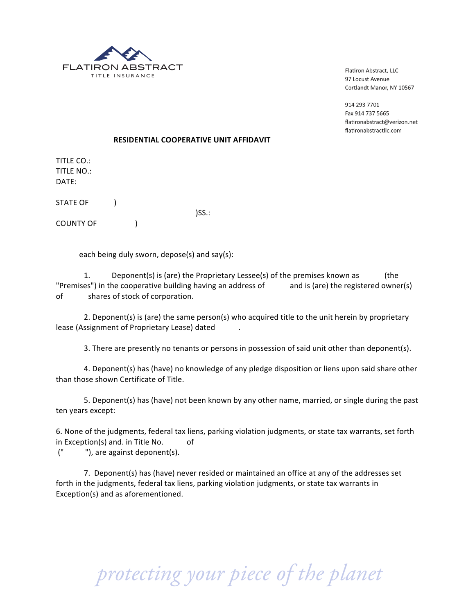

Flatiron Abstract, LLC 97 Locust Avenue Cortlandt Manor, NY 10567

914 293 7701 Fax 914 737 5665 flatironabstract@verizon.net flatironabstractllc.com

## **RESIDENTIAL COOPERATIVE UNIT AFFIDAVIT**

)SS.:

TITLE CO.: TITLE NO.: DATE:

STATE OF (1)

COUNTY OF (

each being duly sworn, depose(s) and say(s):

1. Deponent(s) is (are) the Proprietary Lessee(s) of the premises known as (the "Premises") in the cooperative building having an address of and is (are) the registered owner(s) of shares of stock of corporation.

2. Deponent(s) is (are) the same person(s) who acquired title to the unit herein by proprietary lease (Assignment of Proprietary Lease) dated .

3. There are presently no tenants or persons in possession of said unit other than deponent(s).

4. Deponent(s) has (have) no knowledge of any pledge disposition or liens upon said share other than those shown Certificate of Title.

5. Deponent(s) has (have) not been known by any other name, married, or single during the past ten years except:

6. None of the judgments, federal tax liens, parking violation judgments, or state tax warrants, set forth in Exception(s) and. in Title No.  $\qquad \qquad$  of

(" "), are against deponent(s).

7. Deponent(s) has (have) never resided or maintained an office at any of the addresses set forth in the judgments, federal tax liens, parking violation judgments, or state tax warrants in Exception(s) and as aforementioned.

 *protecting your piece of the planet*